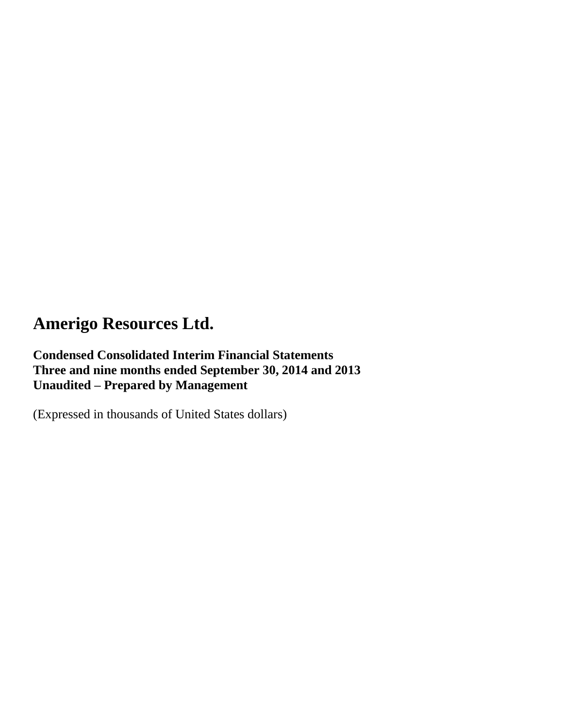## **Condensed Consolidated Interim Financial Statements Three and nine months ended September 30, 2014 and 2013 Unaudited – Prepared by Management**

(Expressed in thousands of United States dollars)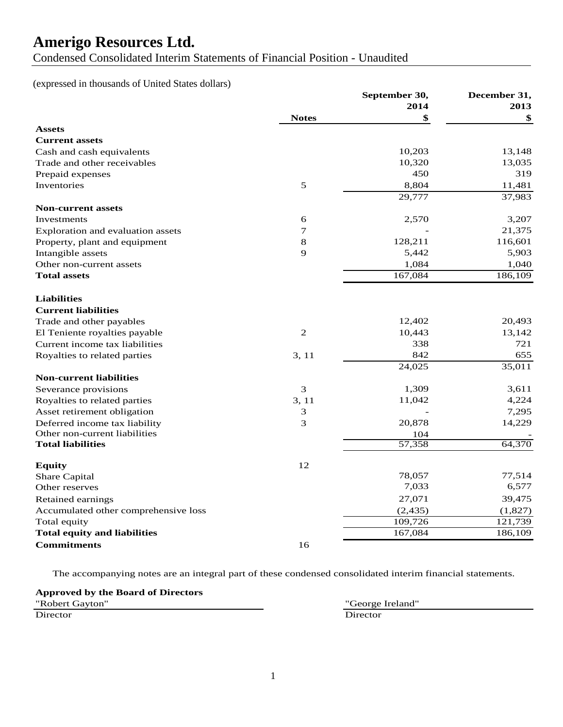Condensed Consolidated Interim Statements of Financial Position - Unaudited

### (expressed in thousands of United States dollars)

| 2014<br>2013<br><b>Notes</b><br>\$<br>\$<br><b>Assets</b><br><b>Current assets</b><br>10,203<br>13,148<br>Cash and cash equivalents<br>10,320<br>13,035<br>Trade and other receivables<br>450<br>319<br>Prepaid expenses<br>Inventories<br>$\mathfrak s$<br>8,804<br>11,481<br>29,777<br>37,983<br><b>Non-current assets</b><br>3,207<br>6<br>2,570<br>Investments<br>$\tau$<br>21,375<br>Exploration and evaluation assets<br>128,211<br>116,601<br>8<br>Property, plant and equipment<br>9<br>5,442<br>5,903<br>Intangible assets<br>1,084<br>1,040<br>Other non-current assets<br>167,084<br><b>Total assets</b><br><b>Liabilities</b><br><b>Current liabilities</b><br>12,402<br>20,493<br>Trade and other payables<br>$\overline{2}$<br>13,142<br>10,443<br>El Teniente royalties payable<br>338<br>721<br>Current income tax liabilities<br>842<br>655<br>3, 11<br>Royalties to related parties<br>24,025<br>35,011<br><b>Non-current liabilities</b><br>3<br>3,611<br>1,309<br>Severance provisions<br>4,224<br>Royalties to related parties<br>3, 11<br>11,042<br>7,295<br>Asset retirement obligation<br>3<br>3<br>20,878<br>14,229<br>Deferred income tax liability<br>Other non-current liabilities<br>104<br>57,358<br>64,370<br><b>Total liabilities</b><br>12<br><b>Equity</b><br>78,057<br>77,514<br><b>Share Capital</b><br>7,033<br>6,577<br>Other reserves<br>27,071<br>39,475<br>Retained earnings<br>Accumulated other comprehensive loss<br>(2, 435)<br>(1,827)<br>Total equity<br>109,726<br>121,739<br><b>Total equity and liabilities</b><br>167,084<br>186,109<br><b>Commitments</b><br>16 |  | December 31,  |  |
|---------------------------------------------------------------------------------------------------------------------------------------------------------------------------------------------------------------------------------------------------------------------------------------------------------------------------------------------------------------------------------------------------------------------------------------------------------------------------------------------------------------------------------------------------------------------------------------------------------------------------------------------------------------------------------------------------------------------------------------------------------------------------------------------------------------------------------------------------------------------------------------------------------------------------------------------------------------------------------------------------------------------------------------------------------------------------------------------------------------------------------------------------------------------------------------------------------------------------------------------------------------------------------------------------------------------------------------------------------------------------------------------------------------------------------------------------------------------------------------------------------------------------------------------------------------------------------------------------------------------|--|---------------|--|
| 186,109                                                                                                                                                                                                                                                                                                                                                                                                                                                                                                                                                                                                                                                                                                                                                                                                                                                                                                                                                                                                                                                                                                                                                                                                                                                                                                                                                                                                                                                                                                                                                                                                             |  | September 30, |  |
|                                                                                                                                                                                                                                                                                                                                                                                                                                                                                                                                                                                                                                                                                                                                                                                                                                                                                                                                                                                                                                                                                                                                                                                                                                                                                                                                                                                                                                                                                                                                                                                                                     |  |               |  |
|                                                                                                                                                                                                                                                                                                                                                                                                                                                                                                                                                                                                                                                                                                                                                                                                                                                                                                                                                                                                                                                                                                                                                                                                                                                                                                                                                                                                                                                                                                                                                                                                                     |  |               |  |
|                                                                                                                                                                                                                                                                                                                                                                                                                                                                                                                                                                                                                                                                                                                                                                                                                                                                                                                                                                                                                                                                                                                                                                                                                                                                                                                                                                                                                                                                                                                                                                                                                     |  |               |  |
|                                                                                                                                                                                                                                                                                                                                                                                                                                                                                                                                                                                                                                                                                                                                                                                                                                                                                                                                                                                                                                                                                                                                                                                                                                                                                                                                                                                                                                                                                                                                                                                                                     |  |               |  |
|                                                                                                                                                                                                                                                                                                                                                                                                                                                                                                                                                                                                                                                                                                                                                                                                                                                                                                                                                                                                                                                                                                                                                                                                                                                                                                                                                                                                                                                                                                                                                                                                                     |  |               |  |
|                                                                                                                                                                                                                                                                                                                                                                                                                                                                                                                                                                                                                                                                                                                                                                                                                                                                                                                                                                                                                                                                                                                                                                                                                                                                                                                                                                                                                                                                                                                                                                                                                     |  |               |  |
|                                                                                                                                                                                                                                                                                                                                                                                                                                                                                                                                                                                                                                                                                                                                                                                                                                                                                                                                                                                                                                                                                                                                                                                                                                                                                                                                                                                                                                                                                                                                                                                                                     |  |               |  |
|                                                                                                                                                                                                                                                                                                                                                                                                                                                                                                                                                                                                                                                                                                                                                                                                                                                                                                                                                                                                                                                                                                                                                                                                                                                                                                                                                                                                                                                                                                                                                                                                                     |  |               |  |
|                                                                                                                                                                                                                                                                                                                                                                                                                                                                                                                                                                                                                                                                                                                                                                                                                                                                                                                                                                                                                                                                                                                                                                                                                                                                                                                                                                                                                                                                                                                                                                                                                     |  |               |  |
|                                                                                                                                                                                                                                                                                                                                                                                                                                                                                                                                                                                                                                                                                                                                                                                                                                                                                                                                                                                                                                                                                                                                                                                                                                                                                                                                                                                                                                                                                                                                                                                                                     |  |               |  |
|                                                                                                                                                                                                                                                                                                                                                                                                                                                                                                                                                                                                                                                                                                                                                                                                                                                                                                                                                                                                                                                                                                                                                                                                                                                                                                                                                                                                                                                                                                                                                                                                                     |  |               |  |
|                                                                                                                                                                                                                                                                                                                                                                                                                                                                                                                                                                                                                                                                                                                                                                                                                                                                                                                                                                                                                                                                                                                                                                                                                                                                                                                                                                                                                                                                                                                                                                                                                     |  |               |  |
|                                                                                                                                                                                                                                                                                                                                                                                                                                                                                                                                                                                                                                                                                                                                                                                                                                                                                                                                                                                                                                                                                                                                                                                                                                                                                                                                                                                                                                                                                                                                                                                                                     |  |               |  |
|                                                                                                                                                                                                                                                                                                                                                                                                                                                                                                                                                                                                                                                                                                                                                                                                                                                                                                                                                                                                                                                                                                                                                                                                                                                                                                                                                                                                                                                                                                                                                                                                                     |  |               |  |
|                                                                                                                                                                                                                                                                                                                                                                                                                                                                                                                                                                                                                                                                                                                                                                                                                                                                                                                                                                                                                                                                                                                                                                                                                                                                                                                                                                                                                                                                                                                                                                                                                     |  |               |  |
|                                                                                                                                                                                                                                                                                                                                                                                                                                                                                                                                                                                                                                                                                                                                                                                                                                                                                                                                                                                                                                                                                                                                                                                                                                                                                                                                                                                                                                                                                                                                                                                                                     |  |               |  |
|                                                                                                                                                                                                                                                                                                                                                                                                                                                                                                                                                                                                                                                                                                                                                                                                                                                                                                                                                                                                                                                                                                                                                                                                                                                                                                                                                                                                                                                                                                                                                                                                                     |  |               |  |
|                                                                                                                                                                                                                                                                                                                                                                                                                                                                                                                                                                                                                                                                                                                                                                                                                                                                                                                                                                                                                                                                                                                                                                                                                                                                                                                                                                                                                                                                                                                                                                                                                     |  |               |  |
|                                                                                                                                                                                                                                                                                                                                                                                                                                                                                                                                                                                                                                                                                                                                                                                                                                                                                                                                                                                                                                                                                                                                                                                                                                                                                                                                                                                                                                                                                                                                                                                                                     |  |               |  |
|                                                                                                                                                                                                                                                                                                                                                                                                                                                                                                                                                                                                                                                                                                                                                                                                                                                                                                                                                                                                                                                                                                                                                                                                                                                                                                                                                                                                                                                                                                                                                                                                                     |  |               |  |
|                                                                                                                                                                                                                                                                                                                                                                                                                                                                                                                                                                                                                                                                                                                                                                                                                                                                                                                                                                                                                                                                                                                                                                                                                                                                                                                                                                                                                                                                                                                                                                                                                     |  |               |  |
|                                                                                                                                                                                                                                                                                                                                                                                                                                                                                                                                                                                                                                                                                                                                                                                                                                                                                                                                                                                                                                                                                                                                                                                                                                                                                                                                                                                                                                                                                                                                                                                                                     |  |               |  |
|                                                                                                                                                                                                                                                                                                                                                                                                                                                                                                                                                                                                                                                                                                                                                                                                                                                                                                                                                                                                                                                                                                                                                                                                                                                                                                                                                                                                                                                                                                                                                                                                                     |  |               |  |
|                                                                                                                                                                                                                                                                                                                                                                                                                                                                                                                                                                                                                                                                                                                                                                                                                                                                                                                                                                                                                                                                                                                                                                                                                                                                                                                                                                                                                                                                                                                                                                                                                     |  |               |  |
|                                                                                                                                                                                                                                                                                                                                                                                                                                                                                                                                                                                                                                                                                                                                                                                                                                                                                                                                                                                                                                                                                                                                                                                                                                                                                                                                                                                                                                                                                                                                                                                                                     |  |               |  |
|                                                                                                                                                                                                                                                                                                                                                                                                                                                                                                                                                                                                                                                                                                                                                                                                                                                                                                                                                                                                                                                                                                                                                                                                                                                                                                                                                                                                                                                                                                                                                                                                                     |  |               |  |
|                                                                                                                                                                                                                                                                                                                                                                                                                                                                                                                                                                                                                                                                                                                                                                                                                                                                                                                                                                                                                                                                                                                                                                                                                                                                                                                                                                                                                                                                                                                                                                                                                     |  |               |  |
|                                                                                                                                                                                                                                                                                                                                                                                                                                                                                                                                                                                                                                                                                                                                                                                                                                                                                                                                                                                                                                                                                                                                                                                                                                                                                                                                                                                                                                                                                                                                                                                                                     |  |               |  |
|                                                                                                                                                                                                                                                                                                                                                                                                                                                                                                                                                                                                                                                                                                                                                                                                                                                                                                                                                                                                                                                                                                                                                                                                                                                                                                                                                                                                                                                                                                                                                                                                                     |  |               |  |
|                                                                                                                                                                                                                                                                                                                                                                                                                                                                                                                                                                                                                                                                                                                                                                                                                                                                                                                                                                                                                                                                                                                                                                                                                                                                                                                                                                                                                                                                                                                                                                                                                     |  |               |  |
|                                                                                                                                                                                                                                                                                                                                                                                                                                                                                                                                                                                                                                                                                                                                                                                                                                                                                                                                                                                                                                                                                                                                                                                                                                                                                                                                                                                                                                                                                                                                                                                                                     |  |               |  |
|                                                                                                                                                                                                                                                                                                                                                                                                                                                                                                                                                                                                                                                                                                                                                                                                                                                                                                                                                                                                                                                                                                                                                                                                                                                                                                                                                                                                                                                                                                                                                                                                                     |  |               |  |
|                                                                                                                                                                                                                                                                                                                                                                                                                                                                                                                                                                                                                                                                                                                                                                                                                                                                                                                                                                                                                                                                                                                                                                                                                                                                                                                                                                                                                                                                                                                                                                                                                     |  |               |  |
|                                                                                                                                                                                                                                                                                                                                                                                                                                                                                                                                                                                                                                                                                                                                                                                                                                                                                                                                                                                                                                                                                                                                                                                                                                                                                                                                                                                                                                                                                                                                                                                                                     |  |               |  |
|                                                                                                                                                                                                                                                                                                                                                                                                                                                                                                                                                                                                                                                                                                                                                                                                                                                                                                                                                                                                                                                                                                                                                                                                                                                                                                                                                                                                                                                                                                                                                                                                                     |  |               |  |
|                                                                                                                                                                                                                                                                                                                                                                                                                                                                                                                                                                                                                                                                                                                                                                                                                                                                                                                                                                                                                                                                                                                                                                                                                                                                                                                                                                                                                                                                                                                                                                                                                     |  |               |  |
|                                                                                                                                                                                                                                                                                                                                                                                                                                                                                                                                                                                                                                                                                                                                                                                                                                                                                                                                                                                                                                                                                                                                                                                                                                                                                                                                                                                                                                                                                                                                                                                                                     |  |               |  |

The accompanying notes are an integral part of these condensed consolidated interim financial statements.

| <b>Approved by the Board of Directors</b> |  |
|-------------------------------------------|--|
| "Robert Gayton"                           |  |
|                                           |  |

**Director** 

"George Ireland"<br>Director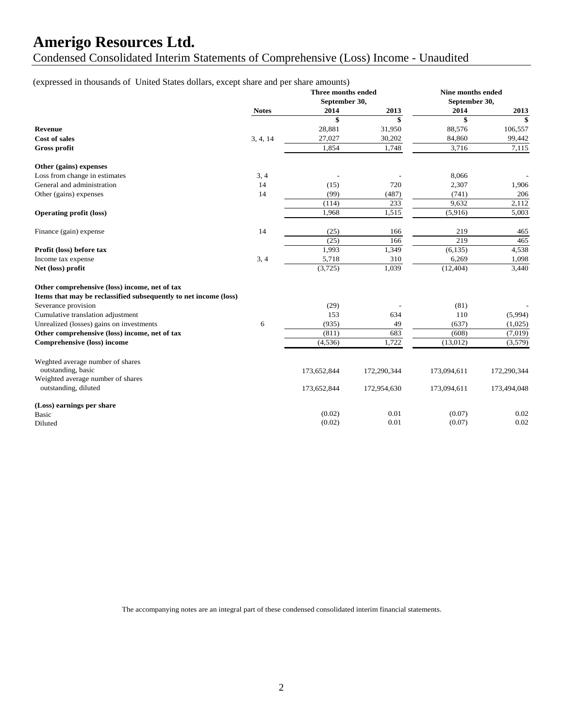Condensed Consolidated Interim Statements of Comprehensive (Loss) Income - Unaudited

### (expressed in thousands of United States dollars, except share and per share amounts)

|                                                                  |              | Three months ended<br>September 30, |             |             | Nine months ended<br>September 30, |  |
|------------------------------------------------------------------|--------------|-------------------------------------|-------------|-------------|------------------------------------|--|
|                                                                  | <b>Notes</b> | 2014                                | 2013        | 2014        | 2013                               |  |
|                                                                  |              | \$                                  | \$          | \$          | \$                                 |  |
| Revenue                                                          |              | 28,881                              | 31,950      | 88,576      | 106,557                            |  |
| <b>Cost of sales</b>                                             | 3, 4, 14     | 27,027                              | 30,202      | 84,860      | 99,442                             |  |
| Gross profit                                                     |              | 1,854                               | 1,748       | 3,716       | 7,115                              |  |
| Other (gains) expenses                                           |              |                                     |             |             |                                    |  |
| Loss from change in estimates                                    | 3, 4         |                                     |             | 8,066       |                                    |  |
| General and administration                                       | 14           | (15)                                | 720         | 2,307       | 1,906                              |  |
| Other (gains) expenses                                           | 14           | (99)                                | (487)       | (741)       | 206                                |  |
|                                                                  |              | (114)                               | 233         | 9.632       | 2,112                              |  |
| <b>Operating profit (loss)</b>                                   |              | 1.968                               | 1,515       | (5,916)     | 5,003                              |  |
| Finance (gain) expense                                           | 14           | (25)                                | 166         | 219         | 465                                |  |
|                                                                  |              | (25)                                | 166         | 219         | 465                                |  |
| Profit (loss) before tax                                         |              | 1,993                               | 1,349       | (6, 135)    | 4,538                              |  |
| Income tax expense                                               | 3, 4         | 5,718                               | 310         | 6,269       | 1,098                              |  |
| Net (loss) profit                                                |              | (3,725)                             | 1,039       | (12, 404)   | 3.440                              |  |
| Other comprehensive (loss) income, net of tax                    |              |                                     |             |             |                                    |  |
| Items that may be reclassified subsequently to net income (loss) |              |                                     |             |             |                                    |  |
| Severance provision                                              |              | (29)                                |             | (81)        |                                    |  |
| Cumulative translation adjustment                                |              | 153                                 | 634         | 110         | (5,994)                            |  |
| Unrealized (losses) gains on investments                         | 6            | (935)                               | 49          | (637)       | (1,025)                            |  |
| Other comprehensive (loss) income, net of tax                    |              | (811)                               | 683         | (608)       | (7,019)                            |  |
| Comprehensive (loss) income                                      |              | (4,536)                             | 1,722       | (13,012)    | (3,579)                            |  |
| Weghted average number of shares                                 |              |                                     |             |             |                                    |  |
| outstanding, basic                                               |              | 173,652,844                         | 172,290,344 | 173,094,611 | 172,290,344                        |  |
| Weighted average number of shares                                |              |                                     |             |             |                                    |  |
| outstanding, diluted                                             |              | 173,652,844                         | 172,954,630 | 173,094,611 | 173,494,048                        |  |
| (Loss) earnings per share                                        |              |                                     |             |             |                                    |  |
| Basic                                                            |              | (0.02)                              | 0.01        | (0.07)      | 0.02                               |  |
| Diluted                                                          |              | (0.02)                              | 0.01        | (0.07)      | 0.02                               |  |

The accompanying notes are an integral part of these condensed consolidated interim financial statements.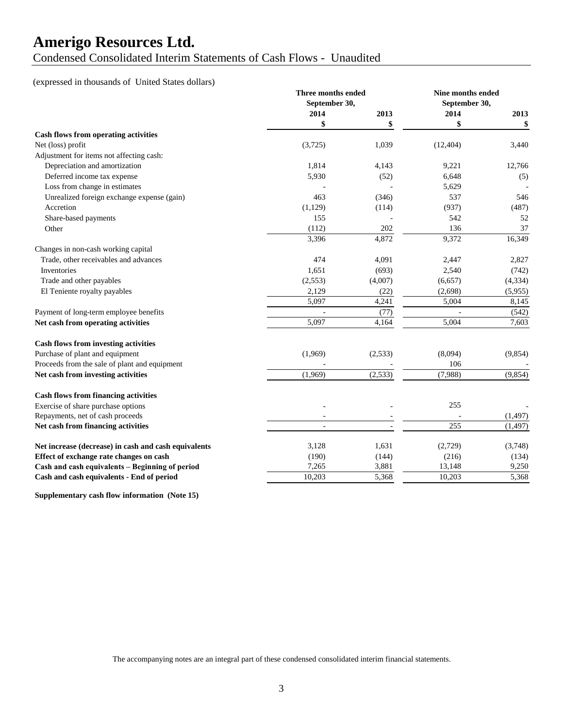### Condensed Consolidated Interim Statements of Cash Flows - Unaudited

### (expressed in thousands of United States dollars)

|                                                      | Three months ended       |          | <b>Nine months ended</b> |          |
|------------------------------------------------------|--------------------------|----------|--------------------------|----------|
|                                                      | September 30,            |          | September 30,            |          |
|                                                      | 2014                     | 2013     | 2014                     | 2013     |
|                                                      | \$                       | \$       | \$                       | \$       |
| <b>Cash flows from operating activities</b>          |                          |          |                          |          |
| Net (loss) profit                                    | (3,725)                  | 1,039    | (12, 404)                | 3,440    |
| Adjustment for items not affecting cash:             |                          |          |                          |          |
| Depreciation and amortization                        | 1,814                    | 4,143    | 9,221                    | 12,766   |
| Deferred income tax expense                          | 5,930                    | (52)     | 6,648                    | (5)      |
| Loss from change in estimates                        |                          |          | 5,629                    |          |
| Unrealized foreign exchange expense (gain)           | 463                      | (346)    | 537                      | 546      |
| Accretion                                            | (1,129)                  | (114)    | (937)                    | (487)    |
| Share-based payments                                 | 155                      |          | 542                      | 52       |
| Other                                                | (112)                    | 202      | 136                      | 37       |
|                                                      | 3,396                    | 4,872    | 9,372                    | 16,349   |
| Changes in non-cash working capital                  |                          |          |                          |          |
| Trade, other receivables and advances                | 474                      | 4,091    | 2,447                    | 2,827    |
| Inventories                                          | 1,651                    | (693)    | 2,540                    | (742)    |
| Trade and other payables                             | (2,553)                  | (4,007)  | (6,657)                  | (4, 334) |
| El Teniente royalty payables                         | 2,129                    | (22)     | (2,698)                  | (5,955)  |
|                                                      | 5,097                    | 4,241    | 5,004                    | 8,145    |
| Payment of long-term employee benefits               |                          | (77)     |                          | (542)    |
| Net cash from operating activities                   | 5,097                    | 4,164    | 5,004                    | 7,603    |
| <b>Cash flows from investing activities</b>          |                          |          |                          |          |
| Purchase of plant and equipment                      | (1,969)                  | (2, 533) | (8,094)                  | (9,854)  |
| Proceeds from the sale of plant and equipment        |                          |          | 106                      |          |
| Net cash from investing activities                   | (1,969)                  | (2,533)  | (7,988)                  | (9, 854) |
| <b>Cash flows from financing activities</b>          |                          |          |                          |          |
| Exercise of share purchase options                   |                          |          | 255                      |          |
| Repayments, net of cash proceeds                     | $\overline{\phantom{a}}$ |          |                          | (1, 497) |
| Net cash from financing activities                   | $\sim$                   |          | 255                      | (1, 497) |
|                                                      |                          |          |                          |          |
| Net increase (decrease) in cash and cash equivalents | 3,128                    | 1,631    | (2,729)                  | (3,748)  |
| Effect of exchange rate changes on cash              | (190)                    | (144)    | (216)                    | (134)    |
| Cash and cash equivalents - Beginning of period      | 7,265                    | 3,881    | 13,148                   | 9,250    |
| Cash and cash equivalents - End of period            | 10,203                   | 5,368    | 10,203                   | 5,368    |

**Supplementary cash flow information (Note 15)**

The accompanying notes are an integral part of these condensed consolidated interim financial statements.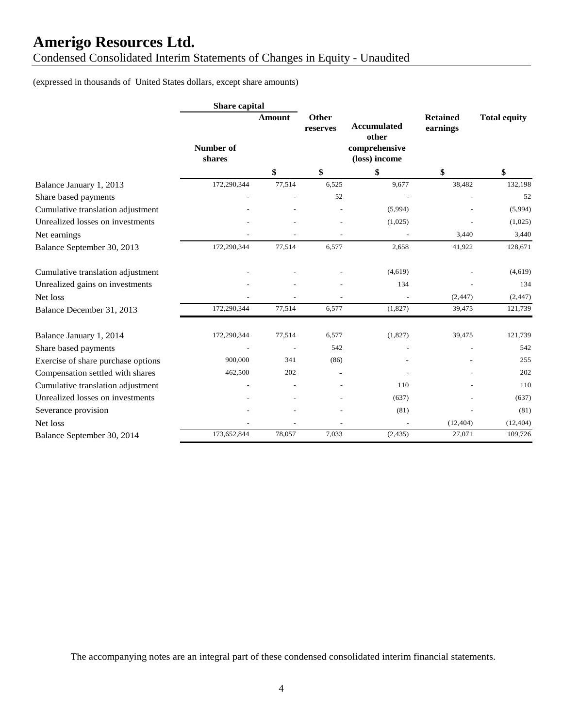Condensed Consolidated Interim Statements of Changes in Equity - Unaudited

(expressed in thousands of United States dollars, except share amounts)

|                                    | <b>Share capital</b> |                |                   |                                                               |                             |                     |
|------------------------------------|----------------------|----------------|-------------------|---------------------------------------------------------------|-----------------------------|---------------------|
|                                    | Number of<br>shares  | Amount         | Other<br>reserves | <b>Accumulated</b><br>other<br>comprehensive<br>(loss) income | <b>Retained</b><br>earnings | <b>Total equity</b> |
|                                    |                      | \$             | \$                | \$                                                            | \$                          | \$                  |
| Balance January 1, 2013            | 172,290,344          | 77,514         | 6,525             | 9,677                                                         | 38,482                      | 132,198             |
| Share based payments               |                      |                | 52                |                                                               |                             | 52                  |
| Cumulative translation adjustment  |                      |                |                   | (5,994)                                                       |                             | (5,994)             |
| Unrealized losses on investments   |                      |                |                   | (1,025)                                                       |                             | (1,025)             |
| Net earnings                       |                      |                |                   |                                                               | 3,440                       | 3,440               |
| Balance September 30, 2013         | 172,290,344          | 77,514         | 6,577             | 2,658                                                         | 41,922                      | 128,671             |
| Cumulative translation adjustment  |                      |                |                   | (4,619)                                                       |                             | (4,619)             |
| Unrealized gains on investments    |                      |                |                   | 134                                                           |                             | 134                 |
| Net loss                           |                      |                |                   |                                                               | (2, 447)                    | (2, 447)            |
| Balance December 31, 2013          | 172,290,344          | 77,514         | 6,577             | (1,827)                                                       | 39,475                      | 121,739             |
| Balance January 1, 2014            | 172,290,344          | 77,514         | 6,577             | (1,827)                                                       | 39,475                      | 121,739             |
| Share based payments               |                      | $\overline{a}$ | 542               |                                                               |                             | 542                 |
| Exercise of share purchase options | 900,000              | 341            | (86)              |                                                               |                             | 255                 |
| Compensation settled with shares   | 462,500              | 202            |                   |                                                               |                             | 202                 |
| Cumulative translation adjustment  |                      |                |                   | 110                                                           |                             | 110                 |
| Unrealized losses on investments   |                      |                |                   | (637)                                                         |                             | (637)               |
| Severance provision                |                      |                |                   | (81)                                                          |                             | (81)                |
| Net loss                           |                      |                |                   |                                                               | (12, 404)                   | (12, 404)           |
| Balance September 30, 2014         | 173,652,844          | 78,057         | 7,033             | (2, 435)                                                      | 27,071                      | 109,726             |

The accompanying notes are an integral part of these condensed consolidated interim financial statements.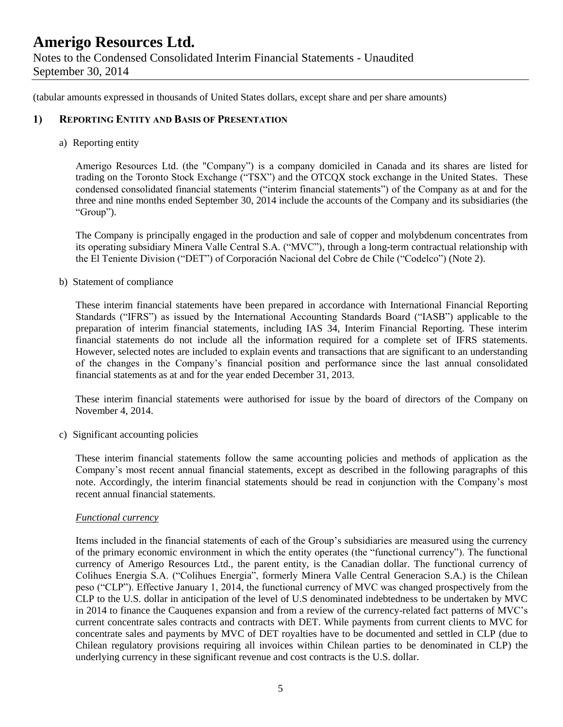(tabular amounts expressed in thousands of United States dollars, except share and per share amounts)

### **1) REPORTING ENTITY AND BASIS OF PRESENTATION**

a) Reporting entity

Amerigo Resources Ltd. (the "Company") is a company domiciled in Canada and its shares are listed for trading on the Toronto Stock Exchange ("TSX") and the OTCQX stock exchange in the United States. These condensed consolidated financial statements ("interim financial statements") of the Company as at and for the three and nine months ended September 30, 2014 include the accounts of the Company and its subsidiaries (the "Group").

The Company is principally engaged in the production and sale of copper and molybdenum concentrates from its operating subsidiary Minera Valle Central S.A. ("MVC"), through a long-term contractual relationship with the El Teniente Division ("DET") of Corporación Nacional del Cobre de Chile ("Codelco") (Note 2).

b) Statement of compliance

These interim financial statements have been prepared in accordance with International Financial Reporting Standards ("IFRS") as issued by the International Accounting Standards Board ("IASB") applicable to the preparation of interim financial statements, including IAS 34, Interim Financial Reporting. These interim financial statements do not include all the information required for a complete set of IFRS statements. However, selected notes are included to explain events and transactions that are significant to an understanding of the changes in the Company's financial position and performance since the last annual consolidated financial statements as at and for the year ended December 31, 2013.

These interim financial statements were authorised for issue by the board of directors of the Company on November 4, 2014.

c) Significant accounting policies

These interim financial statements follow the same accounting policies and methods of application as the Company's most recent annual financial statements, except as described in the following paragraphs of this note. Accordingly, the interim financial statements should be read in conjunction with the Company's most recent annual financial statements.

#### *Functional currency*

Items included in the financial statements of each of the Group's subsidiaries are measured using the currency of the primary economic environment in which the entity operates (the "functional currency"). The functional currency of Amerigo Resources Ltd., the parent entity, is the Canadian dollar. The functional currency of Colihues Energia S.A. ("Colihues Energia", formerly Minera Valle Central Generacion S.A.) is the Chilean peso ("CLP"). Effective January 1, 2014, the functional currency of MVC was changed prospectively from the CLP to the U.S. dollar in anticipation of the level of U.S denominated indebtedness to be undertaken by MVC in 2014 to finance the Cauquenes expansion and from a review of the currency-related fact patterns of MVC's current concentrate sales contracts and contracts with DET. While payments from current clients to MVC for concentrate sales and payments by MVC of DET royalties have to be documented and settled in CLP (due to Chilean regulatory provisions requiring all invoices within Chilean parties to be denominated in CLP) the underlying currency in these significant revenue and cost contracts is the U.S. dollar.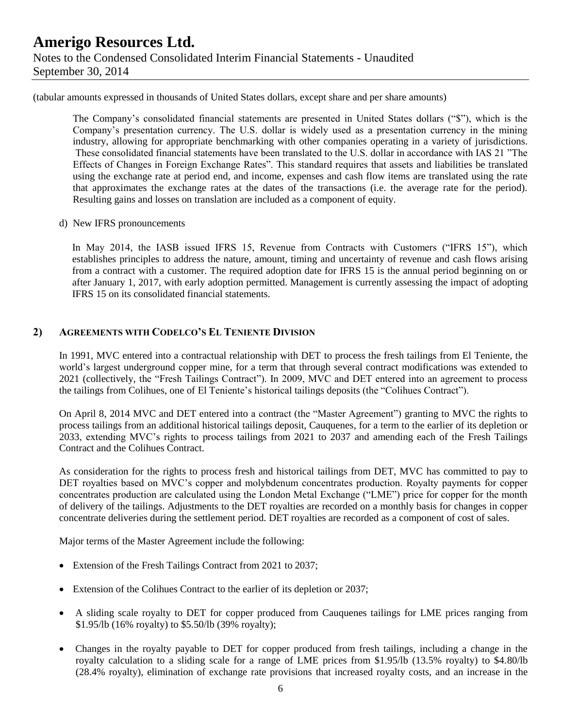(tabular amounts expressed in thousands of United States dollars, except share and per share amounts)

The Company's consolidated financial statements are presented in United States dollars ("\$"), which is the Company's presentation currency. The U.S. dollar is widely used as a presentation currency in the mining industry, allowing for appropriate benchmarking with other companies operating in a variety of jurisdictions. These consolidated financial statements have been translated to the U.S. dollar in accordance with IAS 21 "The Effects of Changes in Foreign Exchange Rates". This standard requires that assets and liabilities be translated using the exchange rate at period end, and income, expenses and cash flow items are translated using the rate that approximates the exchange rates at the dates of the transactions (i.e. the average rate for the period). Resulting gains and losses on translation are included as a component of equity.

#### d) New IFRS pronouncements

In May 2014, the IASB issued IFRS 15, Revenue from Contracts with Customers ("IFRS 15"), which establishes principles to address the nature, amount, timing and uncertainty of revenue and cash flows arising from a contract with a customer. The required adoption date for IFRS 15 is the annual period beginning on or after January 1, 2017, with early adoption permitted. Management is currently assessing the impact of adopting IFRS 15 on its consolidated financial statements.

### **2) AGREEMENTS WITH CODELCO'S EL TENIENTE DIVISION**

In 1991, MVC entered into a contractual relationship with DET to process the fresh tailings from El Teniente, the world's largest underground copper mine, for a term that through several contract modifications was extended to 2021 (collectively, the "Fresh Tailings Contract"). In 2009, MVC and DET entered into an agreement to process the tailings from Colihues, one of El Teniente's historical tailings deposits (the "Colihues Contract").

On April 8, 2014 MVC and DET entered into a contract (the "Master Agreement") granting to MVC the rights to process tailings from an additional historical tailings deposit, Cauquenes, for a term to the earlier of its depletion or 2033, extending MVC's rights to process tailings from 2021 to 2037 and amending each of the Fresh Tailings Contract and the Colihues Contract.

As consideration for the rights to process fresh and historical tailings from DET, MVC has committed to pay to DET royalties based on MVC's copper and molybdenum concentrates production. Royalty payments for copper concentrates production are calculated using the London Metal Exchange ("LME") price for copper for the month of delivery of the tailings. Adjustments to the DET royalties are recorded on a monthly basis for changes in copper concentrate deliveries during the settlement period. DET royalties are recorded as a component of cost of sales.

Major terms of the Master Agreement include the following:

- Extension of the Fresh Tailings Contract from 2021 to 2037;
- Extension of the Colihues Contract to the earlier of its depletion or 2037;
- A sliding scale royalty to DET for copper produced from Cauquenes tailings for LME prices ranging from \$1.95/lb (16% royalty) to \$5.50/lb (39% royalty);
- Changes in the royalty payable to DET for copper produced from fresh tailings, including a change in the royalty calculation to a sliding scale for a range of LME prices from \$1.95/lb (13.5% royalty) to \$4.80/lb (28.4% royalty), elimination of exchange rate provisions that increased royalty costs, and an increase in the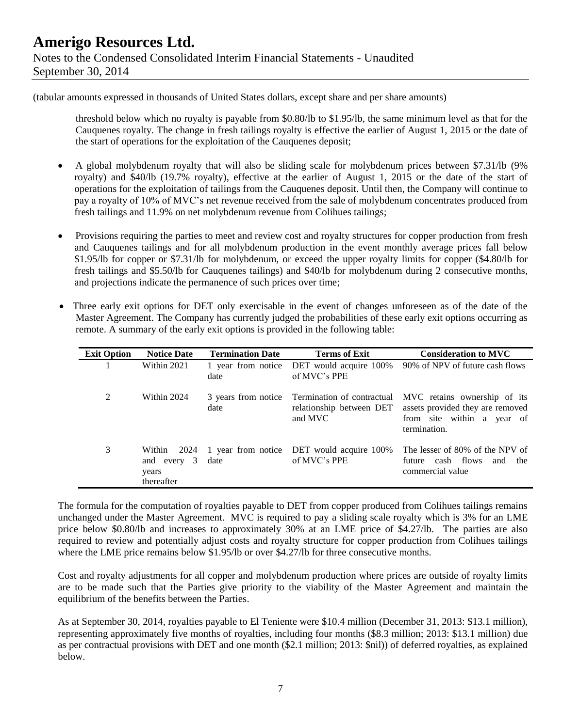(tabular amounts expressed in thousands of United States dollars, except share and per share amounts)

threshold below which no royalty is payable from \$0.80/lb to \$1.95/lb, the same minimum level as that for the Cauquenes royalty. The change in fresh tailings royalty is effective the earlier of August 1, 2015 or the date of the start of operations for the exploitation of the Cauquenes deposit;

- A global molybdenum royalty that will also be sliding scale for molybdenum prices between \$7.31/lb (9% royalty) and \$40/lb (19.7% royalty), effective at the earlier of August 1, 2015 or the date of the start of operations for the exploitation of tailings from the Cauquenes deposit. Until then, the Company will continue to pay a royalty of 10% of MVC's net revenue received from the sale of molybdenum concentrates produced from fresh tailings and 11.9% on net molybdenum revenue from Colihues tailings;
- Provisions requiring the parties to meet and review cost and royalty structures for copper production from fresh and Cauquenes tailings and for all molybdenum production in the event monthly average prices fall below \$1.95/lb for copper or \$7.31/lb for molybdenum, or exceed the upper royalty limits for copper (\$4.80/lb for fresh tailings and \$5.50/lb for Cauquenes tailings) and \$40/lb for molybdenum during 2 consecutive months, and projections indicate the permanence of such prices over time;
- Three early exit options for DET only exercisable in the event of changes unforeseen as of the date of the Master Agreement. The Company has currently judged the probabilities of these early exit options occurring as remote. A summary of the early exit options is provided in the following table:

| <b>Exit Option</b> | <b>Notice Date</b>                           | <b>Termination Date</b> | <b>Terms of Exit</b>                                           | <b>Consideration to MVC</b>                                                                                                                                   |
|--------------------|----------------------------------------------|-------------------------|----------------------------------------------------------------|---------------------------------------------------------------------------------------------------------------------------------------------------------------|
|                    | Within 2021                                  | date                    | 1 year from notice DET would acquire 100%<br>of MVC's PPE      | 90% of NPV of future cash flows                                                                                                                               |
| 2                  | Within 2024                                  | date                    | relationship between DET<br>and MVC                            | 3 years from notice Termination of contractual MVC retains ownership of its<br>assets provided they are removed<br>from site within a year of<br>termination. |
| 3                  | Within<br>and every 3<br>years<br>thereafter | date                    | 2024 1 year from notice DET would acquire 100%<br>of MVC's PPE | The lesser of 80% of the NPV of<br>cash flows<br>and<br>future<br>the<br>commercial value                                                                     |

The formula for the computation of royalties payable to DET from copper produced from Colihues tailings remains unchanged under the Master Agreement. MVC is required to pay a sliding scale royalty which is 3% for an LME price below \$0.80/lb and increases to approximately 30% at an LME price of \$4.27/lb. The parties are also required to review and potentially adjust costs and royalty structure for copper production from Colihues tailings where the LME price remains below \$1.95/lb or over \$4.27/lb for three consecutive months.

Cost and royalty adjustments for all copper and molybdenum production where prices are outside of royalty limits are to be made such that the Parties give priority to the viability of the Master Agreement and maintain the equilibrium of the benefits between the Parties.

As at September 30, 2014, royalties payable to El Teniente were \$10.4 million (December 31, 2013: \$13.1 million), representing approximately five months of royalties, including four months (\$8.3 million; 2013: \$13.1 million) due as per contractual provisions with DET and one month (\$2.1 million; 2013: \$nil)) of deferred royalties, as explained below.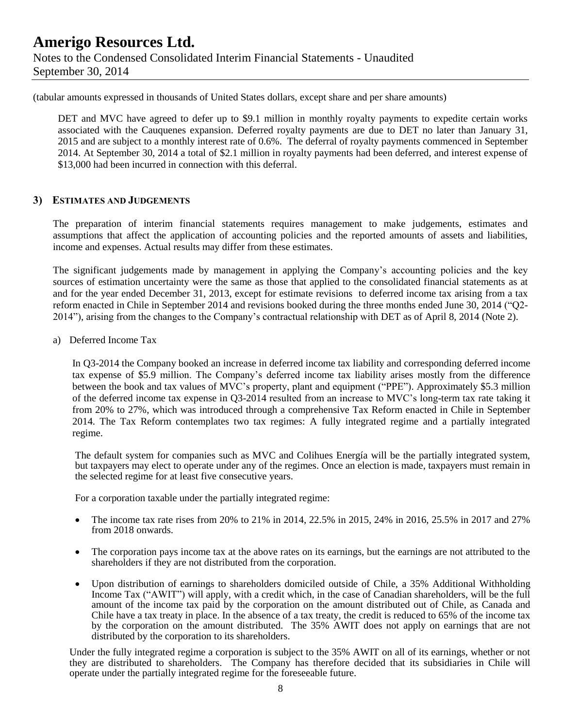(tabular amounts expressed in thousands of United States dollars, except share and per share amounts)

DET and MVC have agreed to defer up to \$9.1 million in monthly royalty payments to expedite certain works associated with the Cauquenes expansion. Deferred royalty payments are due to DET no later than January 31, 2015 and are subject to a monthly interest rate of 0.6%. The deferral of royalty payments commenced in September 2014. At September 30, 2014 a total of \$2.1 million in royalty payments had been deferred, and interest expense of \$13,000 had been incurred in connection with this deferral.

#### **3) ESTIMATES AND JUDGEMENTS**

The preparation of interim financial statements requires management to make judgements, estimates and assumptions that affect the application of accounting policies and the reported amounts of assets and liabilities, income and expenses. Actual results may differ from these estimates.

The significant judgements made by management in applying the Company's accounting policies and the key sources of estimation uncertainty were the same as those that applied to the consolidated financial statements as at and for the year ended December 31, 2013, except for estimate revisions to deferred income tax arising from a tax reform enacted in Chile in September 2014 and revisions booked during the three months ended June 30, 2014 ("Q2- 2014"), arising from the changes to the Company's contractual relationship with DET as of April 8, 2014 (Note 2).

a) Deferred Income Tax

In Q3-2014 the Company booked an increase in deferred income tax liability and corresponding deferred income tax expense of \$5.9 million. The Company's deferred income tax liability arises mostly from the difference between the book and tax values of MVC's property, plant and equipment ("PPE"). Approximately \$5.3 million of the deferred income tax expense in Q3-2014 resulted from an increase to MVC's long-term tax rate taking it from 20% to 27%, which was introduced through a comprehensive Tax Reform enacted in Chile in September 2014. The Tax Reform contemplates two tax regimes: A fully integrated regime and a partially integrated regime.

The default system for companies such as MVC and Colihues Energía will be the partially integrated system, but taxpayers may elect to operate under any of the regimes. Once an election is made, taxpayers must remain in the selected regime for at least five consecutive years.

For a corporation taxable under the partially integrated regime:

- The income tax rate rises from 20% to 21% in 2014, 22.5% in 2015, 24% in 2016, 25.5% in 2017 and 27% from 2018 onwards.
- The corporation pays income tax at the above rates on its earnings, but the earnings are not attributed to the shareholders if they are not distributed from the corporation.
- Upon distribution of earnings to shareholders domiciled outside of Chile, a 35% Additional Withholding Income Tax ("AWIT") will apply, with a credit which, in the case of Canadian shareholders, will be the full amount of the income tax paid by the corporation on the amount distributed out of Chile, as Canada and Chile have a tax treaty in place. In the absence of a tax treaty, the credit is reduced to 65% of the income tax by the corporation on the amount distributed. The 35% AWIT does not apply on earnings that are not distributed by the corporation to its shareholders.

Under the fully integrated regime a corporation is subject to the 35% AWIT on all of its earnings, whether or not they are distributed to shareholders. The Company has therefore decided that its subsidiaries in Chile will operate under the partially integrated regime for the foreseeable future.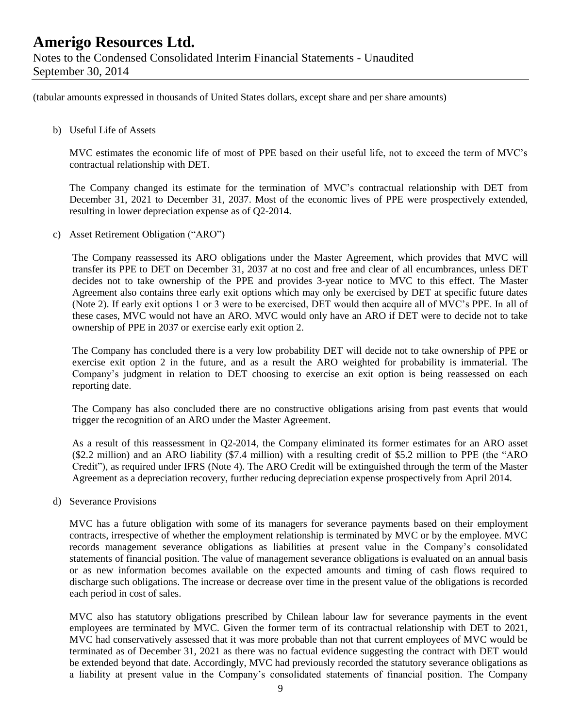(tabular amounts expressed in thousands of United States dollars, except share and per share amounts)

#### b) Useful Life of Assets

MVC estimates the economic life of most of PPE based on their useful life, not to exceed the term of MVC's contractual relationship with DET.

The Company changed its estimate for the termination of MVC's contractual relationship with DET from December 31, 2021 to December 31, 2037. Most of the economic lives of PPE were prospectively extended, resulting in lower depreciation expense as of Q2-2014.

c) Asset Retirement Obligation ("ARO")

The Company reassessed its ARO obligations under the Master Agreement, which provides that MVC will transfer its PPE to DET on December 31, 2037 at no cost and free and clear of all encumbrances, unless DET decides not to take ownership of the PPE and provides 3-year notice to MVC to this effect. The Master Agreement also contains three early exit options which may only be exercised by DET at specific future dates (Note 2). If early exit options 1 or 3 were to be exercised, DET would then acquire all of MVC's PPE. In all of these cases, MVC would not have an ARO. MVC would only have an ARO if DET were to decide not to take ownership of PPE in 2037 or exercise early exit option 2.

The Company has concluded there is a very low probability DET will decide not to take ownership of PPE or exercise exit option 2 in the future, and as a result the ARO weighted for probability is immaterial. The Company's judgment in relation to DET choosing to exercise an exit option is being reassessed on each reporting date.

The Company has also concluded there are no constructive obligations arising from past events that would trigger the recognition of an ARO under the Master Agreement.

As a result of this reassessment in Q2-2014, the Company eliminated its former estimates for an ARO asset (\$2.2 million) and an ARO liability (\$7.4 million) with a resulting credit of \$5.2 million to PPE (the "ARO Credit"), as required under IFRS (Note 4). The ARO Credit will be extinguished through the term of the Master Agreement as a depreciation recovery, further reducing depreciation expense prospectively from April 2014.

d) Severance Provisions

MVC has a future obligation with some of its managers for severance payments based on their employment contracts, irrespective of whether the employment relationship is terminated by MVC or by the employee. MVC records management severance obligations as liabilities at present value in the Company's consolidated statements of financial position. The value of management severance obligations is evaluated on an annual basis or as new information becomes available on the expected amounts and timing of cash flows required to discharge such obligations. The increase or decrease over time in the present value of the obligations is recorded each period in cost of sales.

MVC also has statutory obligations prescribed by Chilean labour law for severance payments in the event employees are terminated by MVC. Given the former term of its contractual relationship with DET to 2021, MVC had conservatively assessed that it was more probable than not that current employees of MVC would be terminated as of December 31, 2021 as there was no factual evidence suggesting the contract with DET would be extended beyond that date. Accordingly, MVC had previously recorded the statutory severance obligations as a liability at present value in the Company's consolidated statements of financial position. The Company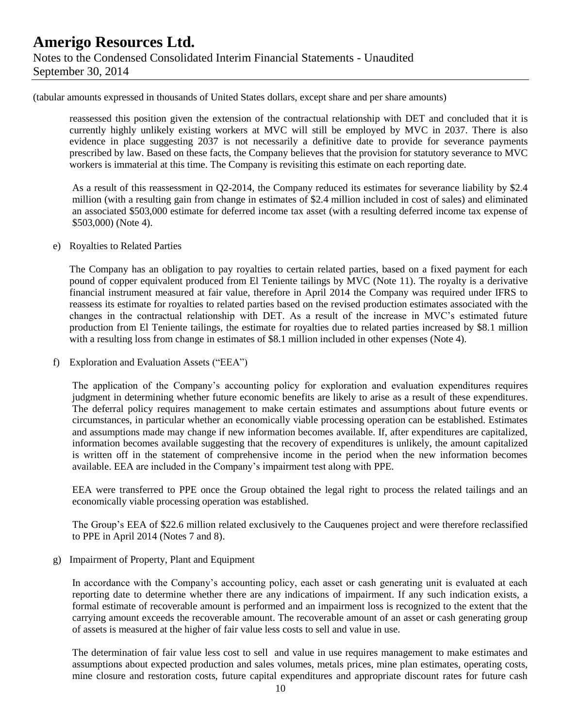(tabular amounts expressed in thousands of United States dollars, except share and per share amounts)

reassessed this position given the extension of the contractual relationship with DET and concluded that it is currently highly unlikely existing workers at MVC will still be employed by MVC in 2037. There is also evidence in place suggesting 2037 is not necessarily a definitive date to provide for severance payments prescribed by law. Based on these facts, the Company believes that the provision for statutory severance to MVC workers is immaterial at this time. The Company is revisiting this estimate on each reporting date.

As a result of this reassessment in Q2-2014, the Company reduced its estimates for severance liability by \$2.4 million (with a resulting gain from change in estimates of \$2.4 million included in cost of sales) and eliminated an associated \$503,000 estimate for deferred income tax asset (with a resulting deferred income tax expense of \$503,000) (Note 4).

#### e) Royalties to Related Parties

The Company has an obligation to pay royalties to certain related parties, based on a fixed payment for each pound of copper equivalent produced from El Teniente tailings by MVC (Note 11). The royalty is a derivative financial instrument measured at fair value, therefore in April 2014 the Company was required under IFRS to reassess its estimate for royalties to related parties based on the revised production estimates associated with the changes in the contractual relationship with DET. As a result of the increase in MVC's estimated future production from El Teniente tailings, the estimate for royalties due to related parties increased by \$8.1 million with a resulting loss from change in estimates of \$8.1 million included in other expenses (Note 4).

f) Exploration and Evaluation Assets ("EEA")

The application of the Company's accounting policy for exploration and evaluation expenditures requires judgment in determining whether future economic benefits are likely to arise as a result of these expenditures. The deferral policy requires management to make certain estimates and assumptions about future events or circumstances, in particular whether an economically viable processing operation can be established. Estimates and assumptions made may change if new information becomes available. If, after expenditures are capitalized, information becomes available suggesting that the recovery of expenditures is unlikely, the amount capitalized is written off in the statement of comprehensive income in the period when the new information becomes available. EEA are included in the Company's impairment test along with PPE.

EEA were transferred to PPE once the Group obtained the legal right to process the related tailings and an economically viable processing operation was established.

The Group's EEA of \$22.6 million related exclusively to the Cauquenes project and were therefore reclassified to PPE in April 2014 (Notes 7 and 8).

### g) Impairment of Property, Plant and Equipment

In accordance with the Company's accounting policy, each asset or cash generating unit is evaluated at each reporting date to determine whether there are any indications of impairment. If any such indication exists, a formal estimate of recoverable amount is performed and an impairment loss is recognized to the extent that the carrying amount exceeds the recoverable amount. The recoverable amount of an asset or cash generating group of assets is measured at the higher of fair value less costs to sell and value in use.

The determination of fair value less cost to sell and value in use requires management to make estimates and assumptions about expected production and sales volumes, metals prices, mine plan estimates, operating costs, mine closure and restoration costs, future capital expenditures and appropriate discount rates for future cash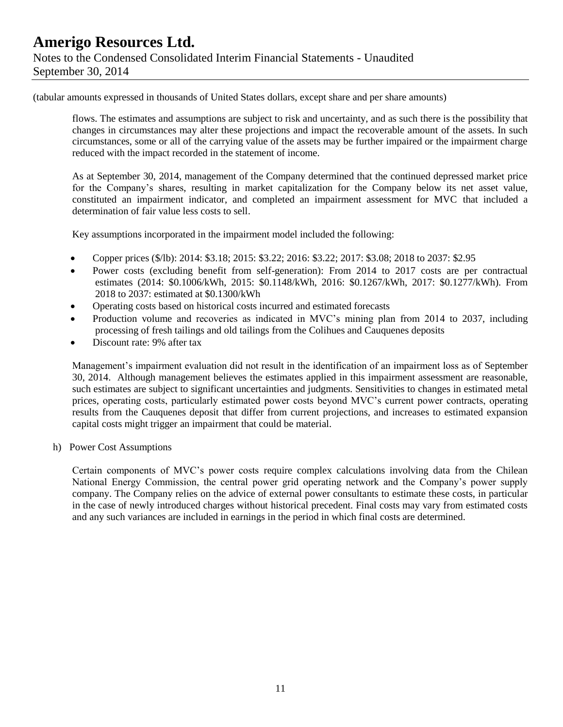(tabular amounts expressed in thousands of United States dollars, except share and per share amounts)

flows. The estimates and assumptions are subject to risk and uncertainty, and as such there is the possibility that changes in circumstances may alter these projections and impact the recoverable amount of the assets. In such circumstances, some or all of the carrying value of the assets may be further impaired or the impairment charge reduced with the impact recorded in the statement of income.

As at September 30, 2014, management of the Company determined that the continued depressed market price for the Company's shares, resulting in market capitalization for the Company below its net asset value, constituted an impairment indicator, and completed an impairment assessment for MVC that included a determination of fair value less costs to sell.

Key assumptions incorporated in the impairment model included the following:

- Copper prices (\$/lb): 2014: \$3.18; 2015: \$3.22; 2016: \$3.22; 2017: \$3.08; 2018 to 2037: \$2.95
- Power costs (excluding benefit from self-generation): From 2014 to 2017 costs are per contractual estimates (2014: \$0.1006/kWh, 2015: \$0.1148/kWh, 2016: \$0.1267/kWh, 2017: \$0.1277/kWh). From 2018 to 2037: estimated at \$0.1300/kWh
- Operating costs based on historical costs incurred and estimated forecasts
- Production volume and recoveries as indicated in MVC's mining plan from 2014 to 2037, including processing of fresh tailings and old tailings from the Colihues and Cauquenes deposits
- Discount rate: 9% after tax

Management's impairment evaluation did not result in the identification of an impairment loss as of September 30, 2014. Although management believes the estimates applied in this impairment assessment are reasonable, such estimates are subject to significant uncertainties and judgments. Sensitivities to changes in estimated metal prices, operating costs, particularly estimated power costs beyond MVC's current power contracts, operating results from the Cauquenes deposit that differ from current projections, and increases to estimated expansion capital costs might trigger an impairment that could be material.

h) Power Cost Assumptions

Certain components of MVC's power costs require complex calculations involving data from the Chilean National Energy Commission, the central power grid operating network and the Company's power supply company. The Company relies on the advice of external power consultants to estimate these costs, in particular in the case of newly introduced charges without historical precedent. Final costs may vary from estimated costs and any such variances are included in earnings in the period in which final costs are determined.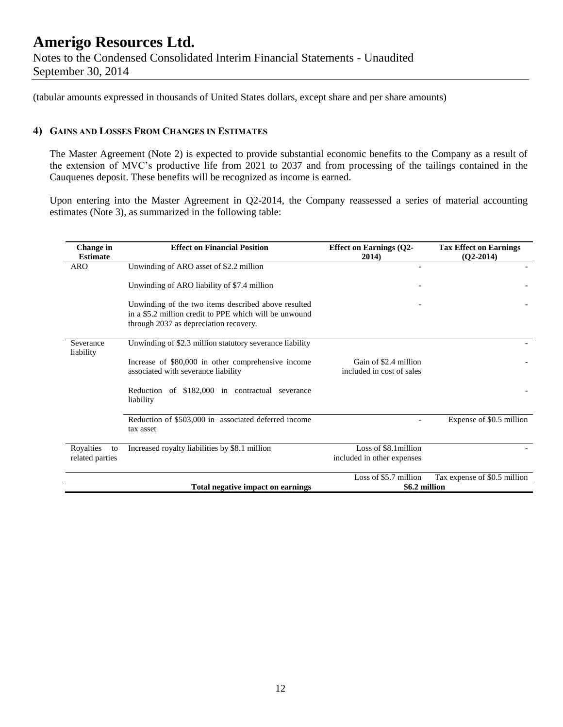(tabular amounts expressed in thousands of United States dollars, except share and per share amounts)

### **4) GAINS AND LOSSES FROM CHANGES IN ESTIMATES**

The Master Agreement (Note 2) is expected to provide substantial economic benefits to the Company as a result of the extension of MVC's productive life from 2021 to 2037 and from processing of the tailings contained in the Cauquenes deposit. These benefits will be recognized as income is earned.

Upon entering into the Master Agreement in Q2-2014, the Company reassessed a series of material accounting estimates (Note 3), as summarized in the following table:

| Change in<br><b>Estimate</b>       | <b>Effect on Financial Position</b>                                                                                                                     | <b>Effect on Earnings (Q2-</b><br>2014)             | <b>Tax Effect on Earnings</b><br>$(Q2-2014)$ |
|------------------------------------|---------------------------------------------------------------------------------------------------------------------------------------------------------|-----------------------------------------------------|----------------------------------------------|
| <b>ARO</b>                         | Unwinding of ARO asset of \$2.2 million                                                                                                                 |                                                     |                                              |
|                                    | Unwinding of ARO liability of \$7.4 million                                                                                                             |                                                     |                                              |
|                                    | Unwinding of the two items described above resulted<br>in a \$5.2 million credit to PPE which will be unwound<br>through 2037 as depreciation recovery. |                                                     |                                              |
| Severance<br>liability             | Unwinding of \$2.3 million statutory severance liability                                                                                                |                                                     |                                              |
|                                    | Increase of \$80,000 in other comprehensive income<br>associated with severance liability                                                               | Gain of \$2.4 million<br>included in cost of sales  |                                              |
|                                    | Reduction of \$182,000 in contractual severance<br>liability                                                                                            |                                                     |                                              |
|                                    | Reduction of \$503,000 in associated deferred income<br>tax asset                                                                                       |                                                     | Expense of \$0.5 million                     |
| Royalties<br>to<br>related parties | Increased royalty liabilities by \$8.1 million                                                                                                          | Loss of \$8.1 million<br>included in other expenses |                                              |
|                                    |                                                                                                                                                         | Loss of \$5.7 million                               | Tax expense of \$0.5 million                 |
|                                    | Total negative impact on earnings                                                                                                                       | \$6.2 million                                       |                                              |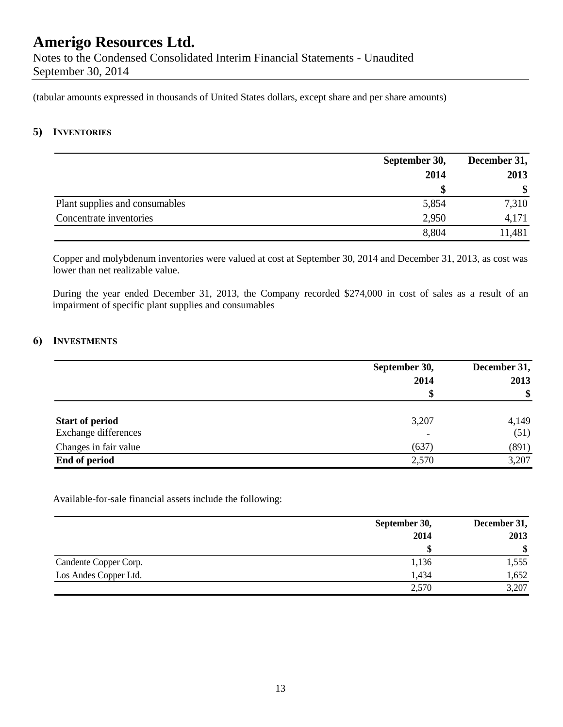Notes to the Condensed Consolidated Interim Financial Statements - Unaudited September 30, 2014

(tabular amounts expressed in thousands of United States dollars, except share and per share amounts)

### **5) INVENTORIES**

|                                | September 30, | December 31, |  |
|--------------------------------|---------------|--------------|--|
|                                | 2014          | 2013         |  |
|                                |               | \$           |  |
| Plant supplies and consumables | 5,854         | 7,310        |  |
| Concentrate inventories        | 2,950         | 4,171        |  |
|                                | 8,804         | 11,481       |  |

Copper and molybdenum inventories were valued at cost at September 30, 2014 and December 31, 2013, as cost was lower than net realizable value.

During the year ended December 31, 2013, the Company recorded \$274,000 in cost of sales as a result of an impairment of specific plant supplies and consumables

### **6) INVESTMENTS**

|                        | September 30,            | December 31, |  |
|------------------------|--------------------------|--------------|--|
|                        | 2014                     | 2013         |  |
|                        | S                        | \$           |  |
| <b>Start of period</b> | 3,207                    | 4,149        |  |
| Exchange differences   | $\overline{\phantom{0}}$ | (51)         |  |
| Changes in fair value  | (637)                    | (891)        |  |
| End of period          | 2,570                    | 3,207        |  |

Available-for-sale financial assets include the following:

|                       | September 30, | December 31,  |  |
|-----------------------|---------------|---------------|--|
|                       | 2014          | 2013          |  |
|                       |               | <sup>\$</sup> |  |
| Candente Copper Corp. | 1,136         | 1,555         |  |
| Los Andes Copper Ltd. | 1,434         | 1,652         |  |
|                       | 2,570         | 3,207         |  |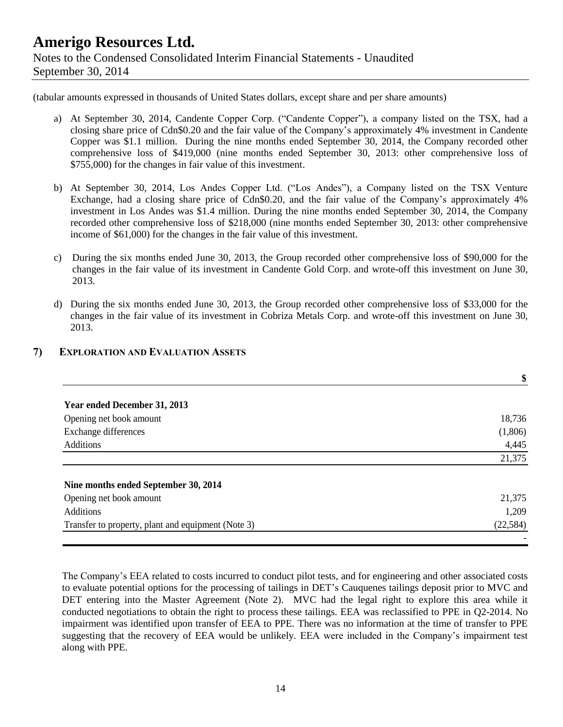(tabular amounts expressed in thousands of United States dollars, except share and per share amounts)

- a) At September 30, 2014, Candente Copper Corp. ("Candente Copper"), a company listed on the TSX, had a closing share price of Cdn\$0.20 and the fair value of the Company's approximately 4% investment in Candente Copper was \$1.1 million. During the nine months ended September 30, 2014, the Company recorded other comprehensive loss of \$419,000 (nine months ended September 30, 2013: other comprehensive loss of \$755,000) for the changes in fair value of this investment.
- b) At September 30, 2014, Los Andes Copper Ltd. ("Los Andes"), a Company listed on the TSX Venture Exchange, had a closing share price of Cdn\$0.20, and the fair value of the Company's approximately 4% investment in Los Andes was \$1.4 million. During the nine months ended September 30, 2014, the Company recorded other comprehensive loss of \$218,000 (nine months ended September 30, 2013: other comprehensive income of \$61,000) for the changes in the fair value of this investment.
- c) During the six months ended June 30, 2013, the Group recorded other comprehensive loss of \$90,000 for the changes in the fair value of its investment in Candente Gold Corp. and wrote-off this investment on June 30, 2013.
- d) During the six months ended June 30, 2013, the Group recorded other comprehensive loss of \$33,000 for the changes in the fair value of its investment in Cobriza Metals Corp. and wrote-off this investment on June 30, 2013.

|                                                    | \$        |
|----------------------------------------------------|-----------|
| Year ended December 31, 2013                       |           |
| Opening net book amount                            | 18,736    |
| Exchange differences                               | (1,806)   |
| <b>Additions</b>                                   | 4,445     |
|                                                    | 21,375    |
| Nine months ended September 30, 2014               |           |
| Opening net book amount                            | 21,375    |
| <b>Additions</b>                                   | 1,209     |
| Transfer to property, plant and equipment (Note 3) | (22, 584) |

### **7) EXPLORATION AND EVALUATION ASSETS**

The Company's EEA related to costs incurred to conduct pilot tests, and for engineering and other associated costs to evaluate potential options for the processing of tailings in DET's Cauquenes tailings deposit prior to MVC and DET entering into the Master Agreement (Note 2). MVC had the legal right to explore this area while it conducted negotiations to obtain the right to process these tailings. EEA was reclassified to PPE in Q2-2014. No impairment was identified upon transfer of EEA to PPE. There was no information at the time of transfer to PPE suggesting that the recovery of EEA would be unlikely. EEA were included in the Company's impairment test along with PPE.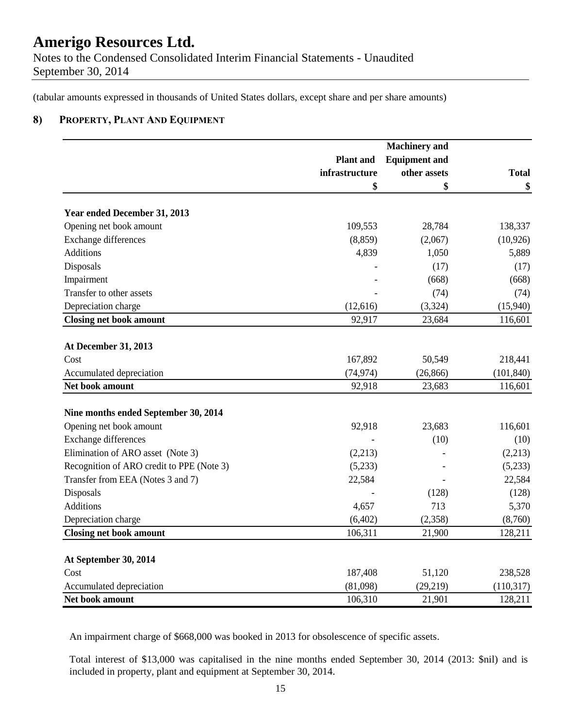Notes to the Condensed Consolidated Interim Financial Statements - Unaudited September 30, 2014

(tabular amounts expressed in thousands of United States dollars, except share and per share amounts)

### **8) PROPERTY, PLANT AND EQUIPMENT**

|                                           |                  | <b>Machinery</b> and |              |
|-------------------------------------------|------------------|----------------------|--------------|
|                                           | <b>Plant</b> and | <b>Equipment and</b> |              |
|                                           | infrastructure   | other assets         | <b>Total</b> |
|                                           | \$               | \$                   | \$           |
| Year ended December 31, 2013              |                  |                      |              |
| Opening net book amount                   | 109,553          | 28,784               | 138,337      |
| Exchange differences                      | (8, 859)         | (2,067)              | (10, 926)    |
| <b>Additions</b>                          | 4,839            | 1,050                | 5,889        |
| Disposals                                 |                  | (17)                 | (17)         |
| Impairment                                |                  | (668)                | (668)        |
| Transfer to other assets                  |                  | (74)                 | (74)         |
| Depreciation charge                       | (12, 616)        | (3, 324)             | (15,940)     |
| <b>Closing net book amount</b>            | 92,917           | 23,684               | 116,601      |
| <b>At December 31, 2013</b>               |                  |                      |              |
| Cost                                      | 167,892          | 50,549               | 218,441      |
| Accumulated depreciation                  | (74, 974)        | (26, 866)            | (101, 840)   |
| Net book amount                           | 92,918           | 23,683               | 116,601      |
|                                           |                  |                      |              |
| Nine months ended September 30, 2014      |                  |                      |              |
| Opening net book amount                   | 92,918           | 23,683               | 116,601      |
| Exchange differences                      |                  | (10)                 | (10)         |
| Elimination of ARO asset (Note 3)         | (2,213)          |                      | (2,213)      |
| Recognition of ARO credit to PPE (Note 3) | (5,233)          |                      | (5,233)      |
| Transfer from EEA (Notes 3 and 7)         | 22,584           |                      | 22,584       |
| Disposals                                 |                  | (128)                | (128)        |
| <b>Additions</b>                          | 4,657            | 713                  | 5,370        |
| Depreciation charge                       | (6,402)          | (2,358)              | (8,760)      |
| <b>Closing net book amount</b>            | 106,311          | 21,900               | 128,211      |
| At September 30, 2014                     |                  |                      |              |
| Cost                                      | 187,408          | 51,120               | 238,528      |
| Accumulated depreciation                  | (81,098)         | (29, 219)            | (110, 317)   |
| Net book amount                           | 106,310          | 21,901               | 128,211      |

An impairment charge of \$668,000 was booked in 2013 for obsolescence of specific assets.

Total interest of \$13,000 was capitalised in the nine months ended September 30, 2014 (2013: \$nil) and is included in property, plant and equipment at September 30, 2014.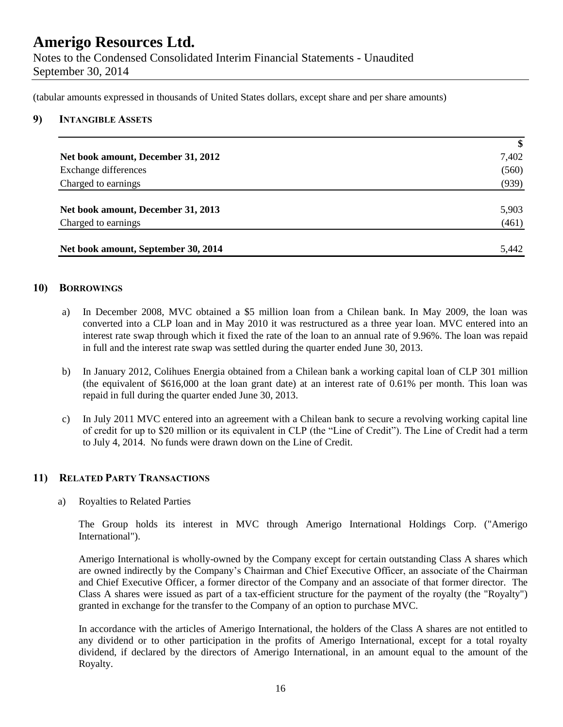(tabular amounts expressed in thousands of United States dollars, except share and per share amounts)

#### **9) INTANGIBLE ASSETS**

|                                     | $\boldsymbol{\$}$ |
|-------------------------------------|-------------------|
| Net book amount, December 31, 2012  | 7,402             |
| Exchange differences                | (560)             |
| Charged to earnings                 | (939)             |
|                                     |                   |
| Net book amount, December 31, 2013  | 5,903             |
| Charged to earnings                 | (461)             |
|                                     |                   |
| Net book amount, September 30, 2014 | 5,442             |

### **10) BORROWINGS**

- a) In December 2008, MVC obtained a \$5 million loan from a Chilean bank. In May 2009, the loan was converted into a CLP loan and in May 2010 it was restructured as a three year loan. MVC entered into an interest rate swap through which it fixed the rate of the loan to an annual rate of 9.96%. The loan was repaid in full and the interest rate swap was settled during the quarter ended June 30, 2013.
- b) In January 2012, Colihues Energia obtained from a Chilean bank a working capital loan of CLP 301 million (the equivalent of \$616,000 at the loan grant date) at an interest rate of 0.61% per month. This loan was repaid in full during the quarter ended June 30, 2013.
- c) In July 2011 MVC entered into an agreement with a Chilean bank to secure a revolving working capital line of credit for up to \$20 million or its equivalent in CLP (the "Line of Credit"). The Line of Credit had a term to July 4, 2014. No funds were drawn down on the Line of Credit.

#### **11) RELATED PARTY TRANSACTIONS**

a) Royalties to Related Parties

The Group holds its interest in MVC through Amerigo International Holdings Corp. ("Amerigo International").

Amerigo International is wholly-owned by the Company except for certain outstanding Class A shares which are owned indirectly by the Company's Chairman and Chief Executive Officer, an associate of the Chairman and Chief Executive Officer, a former director of the Company and an associate of that former director. The Class A shares were issued as part of a tax-efficient structure for the payment of the royalty (the "Royalty") granted in exchange for the transfer to the Company of an option to purchase MVC.

In accordance with the articles of Amerigo International, the holders of the Class A shares are not entitled to any dividend or to other participation in the profits of Amerigo International, except for a total royalty dividend, if declared by the directors of Amerigo International, in an amount equal to the amount of the Royalty.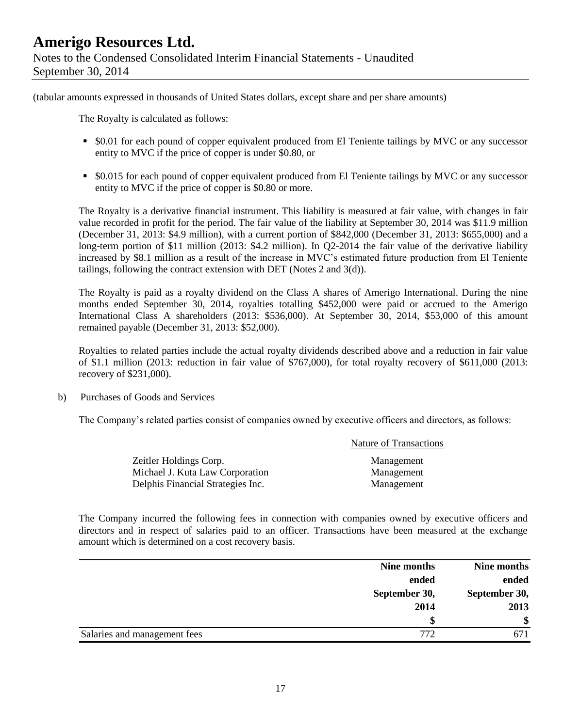(tabular amounts expressed in thousands of United States dollars, except share and per share amounts)

The Royalty is calculated as follows:

- \$0.01 for each pound of copper equivalent produced from El Teniente tailings by MVC or any successor entity to MVC if the price of copper is under \$0.80, or
- \$0.015 for each pound of copper equivalent produced from El Teniente tailings by MVC or any successor entity to MVC if the price of copper is \$0.80 or more.

The Royalty is a derivative financial instrument. This liability is measured at fair value, with changes in fair value recorded in profit for the period. The fair value of the liability at September 30, 2014 was \$11.9 million (December 31, 2013: \$4.9 million), with a current portion of \$842,000 (December 31, 2013: \$655,000) and a long-term portion of \$11 million (2013: \$4.2 million). In Q2-2014 the fair value of the derivative liability increased by \$8.1 million as a result of the increase in MVC's estimated future production from El Teniente tailings, following the contract extension with DET (Notes 2 and 3(d)).

The Royalty is paid as a royalty dividend on the Class A shares of Amerigo International. During the nine months ended September 30, 2014, royalties totalling \$452,000 were paid or accrued to the Amerigo International Class A shareholders (2013: \$536,000). At September 30, 2014, \$53,000 of this amount remained payable (December 31, 2013: \$52,000).

Royalties to related parties include the actual royalty dividends described above and a reduction in fair value of \$1.1 million (2013: reduction in fair value of \$767,000), for total royalty recovery of \$611,000 (2013: recovery of \$231,000).

b) Purchases of Goods and Services

The Company's related parties consist of companies owned by executive officers and directors, as follows:

|                                   | <b>Nature of Transactions</b> |
|-----------------------------------|-------------------------------|
| Zeitler Holdings Corp.            | Management                    |
| Michael J. Kuta Law Corporation   | Management                    |
| Delphis Financial Strategies Inc. | Management                    |

The Company incurred the following fees in connection with companies owned by executive officers and directors and in respect of salaries paid to an officer. Transactions have been measured at the exchange amount which is determined on a cost recovery basis.

|                              | Nine months |               |
|------------------------------|-------------|---------------|
|                              | ended       | ended         |
| September 30,                |             | September 30, |
|                              | 2014        | 2013          |
|                              |             | \$            |
| Salaries and management fees | 772         |               |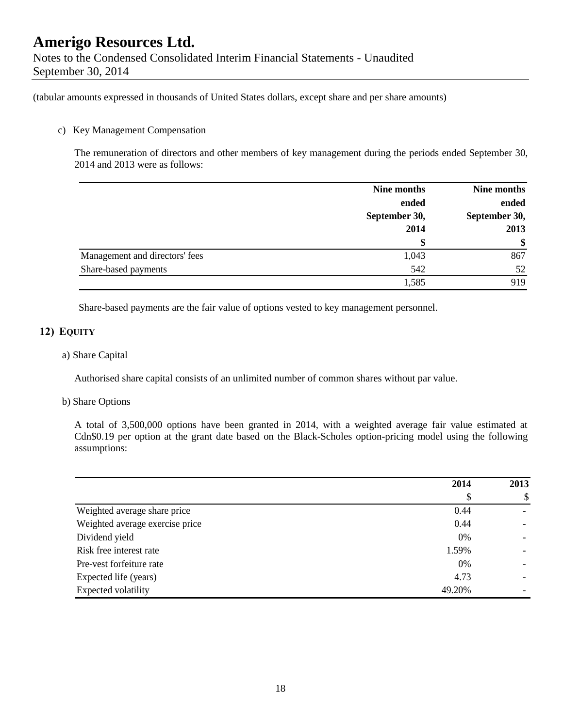(tabular amounts expressed in thousands of United States dollars, except share and per share amounts)

### c) Key Management Compensation

The remuneration of directors and other members of key management during the periods ended September 30, 2014 and 2013 were as follows:

|                                | Nine months   | Nine months   |
|--------------------------------|---------------|---------------|
|                                | ended         | ended         |
|                                | September 30, | September 30, |
|                                | 2014          | 2013          |
|                                | \$            | \$            |
| Management and directors' fees | 1,043         | 867           |
| Share-based payments           | 542           | 52            |
|                                | 1,585         | 919           |

Share-based payments are the fair value of options vested to key management personnel.

### **12) EQUITY**

### a) Share Capital

Authorised share capital consists of an unlimited number of common shares without par value.

#### b) Share Options

A total of 3,500,000 options have been granted in 2014, with a weighted average fair value estimated at Cdn\$0.19 per option at the grant date based on the Black-Scholes option-pricing model using the following assumptions:

|                                 | 2014   | 2013 |
|---------------------------------|--------|------|
|                                 | Φ      | \$   |
| Weighted average share price    | 0.44   |      |
| Weighted average exercise price | 0.44   |      |
| Dividend yield                  | 0%     |      |
| Risk free interest rate         | 1.59%  |      |
| Pre-vest forfeiture rate        | 0%     |      |
| Expected life (years)           | 4.73   |      |
| Expected volatility             | 49.20% |      |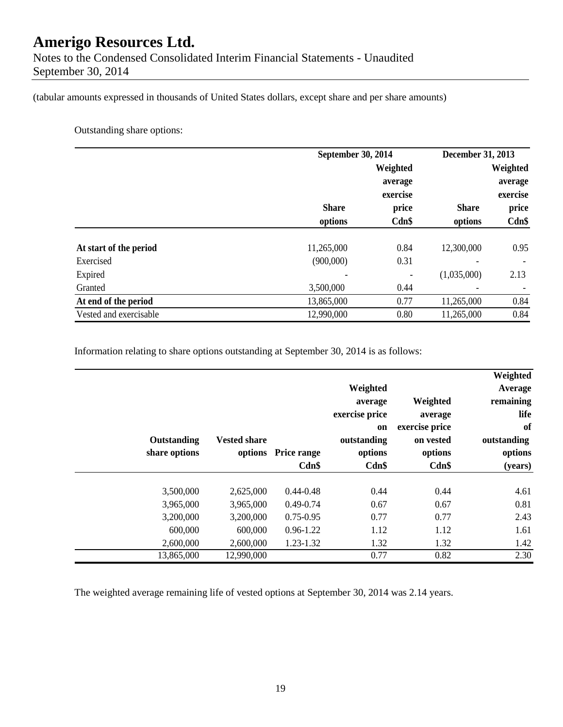Notes to the Condensed Consolidated Interim Financial Statements - Unaudited September 30, 2014

(tabular amounts expressed in thousands of United States dollars, except share and per share amounts)

Outstanding share options:

|                        |              | September 30, 2014 |              | December 31, 2013 |  |
|------------------------|--------------|--------------------|--------------|-------------------|--|
|                        |              | Weighted           |              | Weighted          |  |
|                        |              | average            |              | average           |  |
|                        |              | exercise           |              | exercise          |  |
|                        | <b>Share</b> | price              | <b>Share</b> | price             |  |
|                        | options      | Cdn\$              | options      | Cdn\$             |  |
| At start of the period | 11,265,000   | 0.84               | 12,300,000   | 0.95              |  |
| Exercised              | (900,000)    | 0.31               |              |                   |  |
| Expired                |              |                    | (1,035,000)  | 2.13              |  |
| Granted                | 3,500,000    | 0.44               |              |                   |  |
| At end of the period   | 13,865,000   | 0.77               | 11,265,000   | 0.84              |  |
| Vested and exercisable | 12,990,000   | 0.80               | 11,265,000   | 0.84              |  |

Information relating to share options outstanding at September 30, 2014 is as follows:

| Outstanding<br>share options | <b>Vested share</b>    | options Price range<br>$Cdn$ \$ | Weighted<br>average<br>exercise price<br><sub>on</sub><br>outstanding<br>options<br>$Cdn$ \$ | Weighted<br>average<br>exercise price<br>on vested<br>options<br>$Cdn$ \$ | Weighted<br>Average<br>remaining<br>life<br>of<br>outstanding<br>options<br>(years) |
|------------------------------|------------------------|---------------------------------|----------------------------------------------------------------------------------------------|---------------------------------------------------------------------------|-------------------------------------------------------------------------------------|
| 3,500,000                    | 2,625,000              | $0.44 - 0.48$                   | 0.44                                                                                         | 0.44                                                                      | 4.61                                                                                |
| 3,965,000<br>3,200,000       | 3,965,000<br>3,200,000 | $0.49 - 0.74$<br>$0.75 - 0.95$  | 0.67<br>0.77                                                                                 | 0.67<br>0.77                                                              | 0.81<br>2.43                                                                        |
| 600,000                      | 600,000                | $0.96 - 1.22$                   | 1.12                                                                                         | 1.12                                                                      | 1.61                                                                                |
| 2,600,000                    | 2,600,000              | 1.23-1.32                       | 1.32                                                                                         | 1.32                                                                      | 1.42                                                                                |
| 13,865,000                   | 12,990,000             |                                 | 0.77                                                                                         | 0.82                                                                      | 2.30                                                                                |

The weighted average remaining life of vested options at September 30, 2014 was 2.14 years.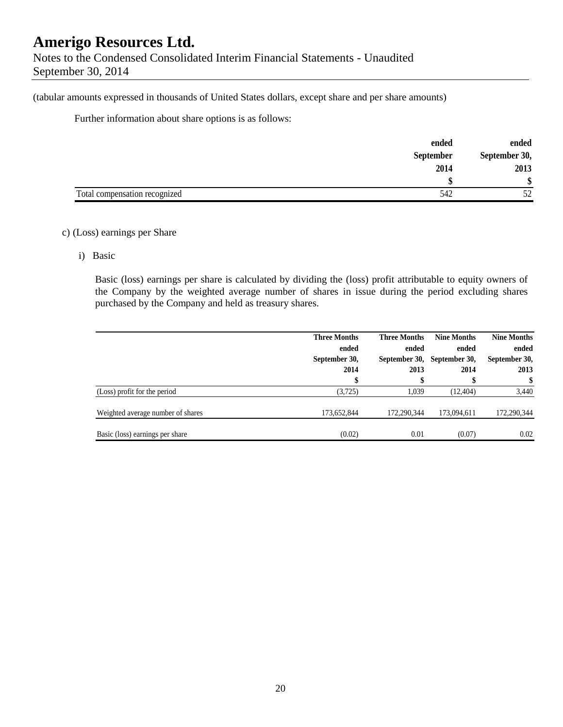(tabular amounts expressed in thousands of United States dollars, except share and per share amounts)

Further information about share options is as follows:

|                               | ended            | ended         |
|-------------------------------|------------------|---------------|
|                               | <b>September</b> | September 30, |
|                               | 2014             | 2013          |
|                               |                  |               |
| Total compensation recognized | 542              | 50            |

### c) (Loss) earnings per Share

i) Basic

Basic (loss) earnings per share is calculated by dividing the (loss) profit attributable to equity owners of the Company by the weighted average number of shares in issue during the period excluding shares purchased by the Company and held as treasury shares.

|                                   | <b>Three Months</b><br>ended<br>September 30,<br>2014 | <b>Three Months</b><br>ended<br>2013 | <b>Nine Months</b><br>ended<br>September 30, September 30,<br>2014 | <b>Nine Months</b><br>ended<br>September 30,<br>2013 |
|-----------------------------------|-------------------------------------------------------|--------------------------------------|--------------------------------------------------------------------|------------------------------------------------------|
|                                   |                                                       |                                      |                                                                    | \$                                                   |
| (Loss) profit for the period      | (3,725)                                               | 1.039                                | (12, 404)                                                          | 3,440                                                |
| Weighted average number of shares | 173,652,844                                           | 172,290,344                          | 173,094,611                                                        | 172,290,344                                          |
| Basic (loss) earnings per share   | (0.02)                                                | 0.01                                 | (0.07)                                                             | 0.02                                                 |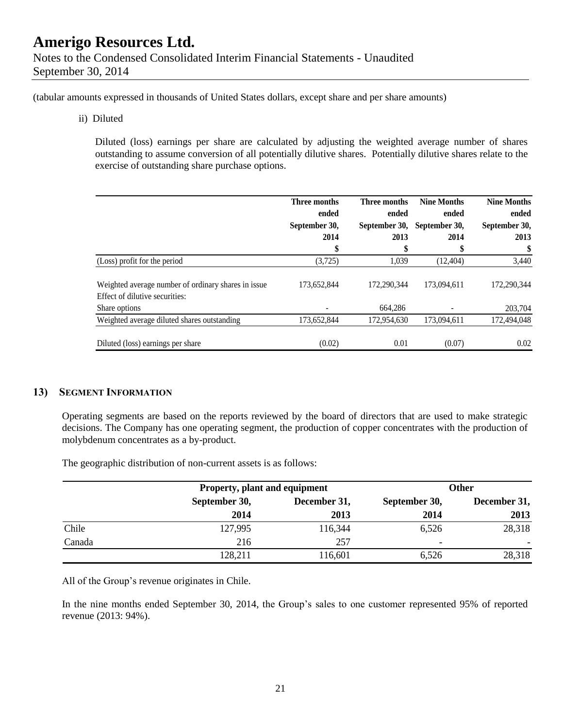(tabular amounts expressed in thousands of United States dollars, except share and per share amounts)

ii) Diluted

Diluted (loss) earnings per share are calculated by adjusting the weighted average number of shares outstanding to assume conversion of all potentially dilutive shares. Potentially dilutive shares relate to the exercise of outstanding share purchase options.

|                                                                                        | Three months<br>ended | Three months<br>ended | <b>Nine Months</b><br>ended | <b>Nine Months</b><br>ended |
|----------------------------------------------------------------------------------------|-----------------------|-----------------------|-----------------------------|-----------------------------|
|                                                                                        | September 30,         | September 30,         | September 30,               | September 30,               |
|                                                                                        | 2014                  | 2013                  | 2014                        | 2013                        |
|                                                                                        | \$                    | \$                    | \$                          | \$                          |
| (Loss) profit for the period                                                           | (3,725)               | 1,039                 | (12, 404)                   | 3,440                       |
| Weighted average number of ordinary shares in issue.<br>Effect of dilutive securities: | 173,652,844           | 172,290,344           | 173,094,611                 | 172,290,344                 |
| Share options                                                                          |                       | 664,286               |                             | 203,704                     |
| Weighted average diluted shares outstanding                                            | 173,652,844           | 172,954,630           | 173,094,611                 | 172,494,048                 |
| Diluted (loss) earnings per share                                                      | (0.02)                | 0.01                  | (0.07)                      | 0.02                        |

#### **13) SEGMENT INFORMATION**

Operating segments are based on the reports reviewed by the board of directors that are used to make strategic decisions. The Company has one operating segment, the production of copper concentrates with the production of molybdenum concentrates as a by-product.

The geographic distribution of non-current assets is as follows:

|        |               | Property, plant and equipment |               | Other        |
|--------|---------------|-------------------------------|---------------|--------------|
|        | September 30, | December 31,                  | September 30, | December 31, |
|        | 2014          | 2013                          | 2014          | 2013         |
| Chile  | 127,995       | 116,344                       | 6,526         | 28,318       |
| Canada | 216           | 257                           | ٠             |              |
|        | 128,211       | 116,601                       | 6.526         | 28,318       |

All of the Group's revenue originates in Chile.

In the nine months ended September 30, 2014, the Group's sales to one customer represented 95% of reported revenue (2013: 94%).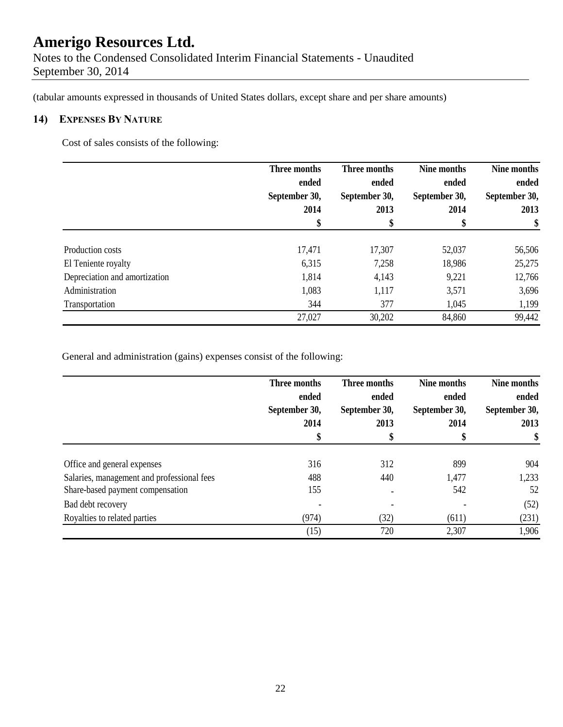Notes to the Condensed Consolidated Interim Financial Statements - Unaudited September 30, 2014

(tabular amounts expressed in thousands of United States dollars, except share and per share amounts)

### **14) EXPENSES BY NATURE**

Cost of sales consists of the following:

|                               | Three months  | Three months  | Nine months   | Nine months   |
|-------------------------------|---------------|---------------|---------------|---------------|
|                               | ended         | ended         | ended         | ended         |
|                               | September 30, | September 30, | September 30, | September 30, |
|                               | 2014          | 2013          | 2014          | 2013          |
|                               | \$            | \$            | \$            | \$            |
| Production costs              | 17,471        | 17,307        | 52,037        | 56,506        |
| El Teniente royalty           | 6,315         | 7,258         | 18,986        | 25,275        |
| Depreciation and amortization | 1,814         | 4,143         | 9,221         | 12,766        |
| Administration                | 1,083         | 1,117         | 3,571         | 3,696         |
| Transportation                | 344           | 377           | 1,045         | 1,199         |
|                               | 27,027        | 30,202        | 84,860        | 99,442        |

General and administration (gains) expenses consist of the following:

|                                            | Three months<br>ended<br>September 30,<br>2014 | Three months<br>ended<br>September 30,<br>2013 | Nine months<br>ended<br>September 30,<br>2014 | Nine months<br>ended<br>September 30,<br>2013<br>\$ |
|--------------------------------------------|------------------------------------------------|------------------------------------------------|-----------------------------------------------|-----------------------------------------------------|
|                                            |                                                |                                                |                                               |                                                     |
|                                            |                                                |                                                |                                               |                                                     |
|                                            |                                                |                                                |                                               |                                                     |
|                                            |                                                |                                                |                                               |                                                     |
| Office and general expenses                | 316                                            | 312                                            | 899                                           | 904                                                 |
| Salaries, management and professional fees | 488                                            | 440                                            | 1,477                                         | 1,233                                               |
| Share-based payment compensation           | 155                                            |                                                | 542                                           | 52                                                  |
| Bad debt recovery                          |                                                |                                                |                                               | (52)                                                |
| Royalties to related parties               | (974)                                          | (32)                                           | (611)                                         | (231)                                               |
|                                            | (15)                                           | 720                                            | 2,307                                         | 1,906                                               |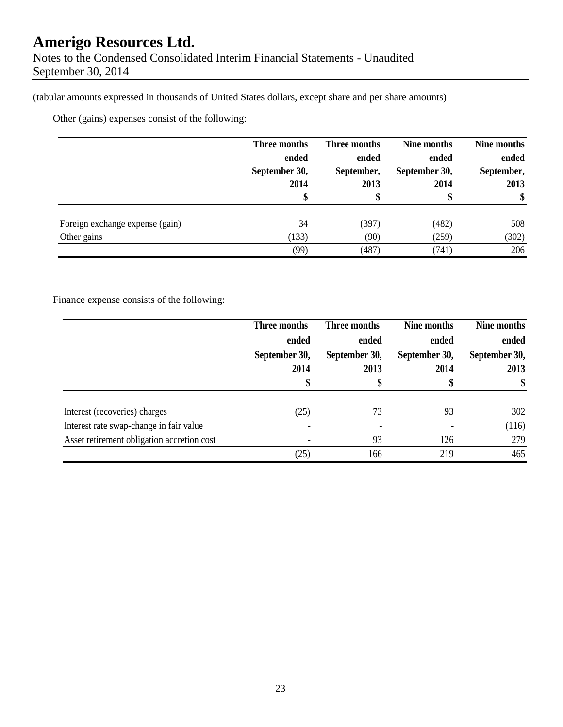(tabular amounts expressed in thousands of United States dollars, except share and per share amounts)

Other (gains) expenses consist of the following:

|                                 | Three months  | Three months | Nine months   | Nine months |
|---------------------------------|---------------|--------------|---------------|-------------|
|                                 | ended         | ended        | ended         | ended       |
|                                 | September 30, | September,   | September 30, | September,  |
|                                 | 2014          | 2013         | 2014          | 2013        |
|                                 |               |              | D             | \$          |
| Foreign exchange expense (gain) | 34            | (397)        | (482)         | 508         |
| Other gains                     | (133)         | (90)         | (259)         | (302)       |
|                                 | (99)          | (487)        | (741)         | 206         |

Finance expense consists of the following:

|                                            | Three months  | Three months  | Nine months   | Nine months   |
|--------------------------------------------|---------------|---------------|---------------|---------------|
|                                            | ended         | ended         | ended         | ended         |
|                                            | September 30, | September 30, | September 30, | September 30, |
|                                            | 2014          | 2013          | 2014          | 2013          |
|                                            | \$            |               | \$            | \$            |
|                                            |               |               |               |               |
| Interest (recoveries) charges              | (25)          | 73            | 93            | 302           |
| Interest rate swap-change in fair value    |               |               |               | (116)         |
| Asset retirement obligation accretion cost |               | 93            | 126           | 279           |
|                                            | (25)          | 166           | 219           | 465           |